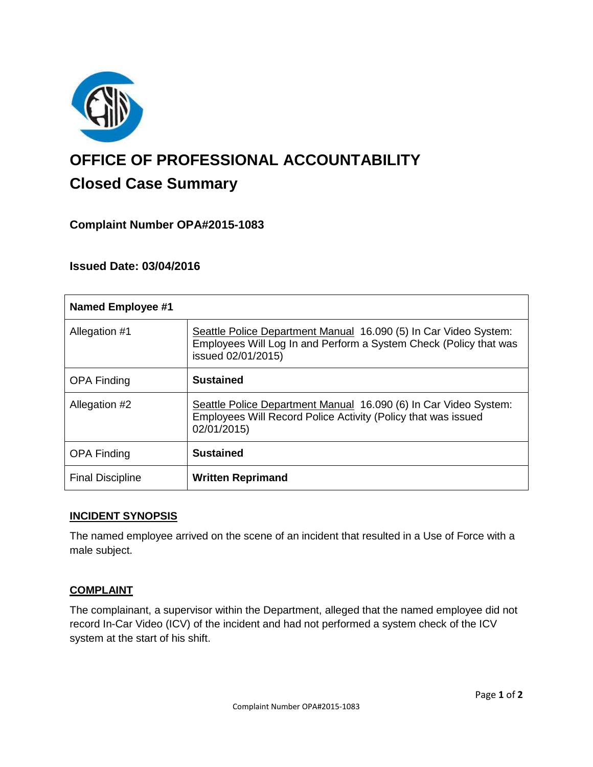

# **OFFICE OF PROFESSIONAL ACCOUNTABILITY Closed Case Summary**

# **Complaint Number OPA#2015-1083**

# **Issued Date: 03/04/2016**

| <b>Named Employee #1</b> |                                                                                                                                                             |
|--------------------------|-------------------------------------------------------------------------------------------------------------------------------------------------------------|
| Allegation #1            | Seattle Police Department Manual 16.090 (5) In Car Video System:<br>Employees Will Log In and Perform a System Check (Policy that was<br>issued 02/01/2015) |
| <b>OPA Finding</b>       | <b>Sustained</b>                                                                                                                                            |
| Allegation #2            | Seattle Police Department Manual 16.090 (6) In Car Video System:<br>Employees Will Record Police Activity (Policy that was issued<br>02/01/2015)            |
| <b>OPA Finding</b>       | <b>Sustained</b>                                                                                                                                            |
| <b>Final Discipline</b>  | <b>Written Reprimand</b>                                                                                                                                    |

## **INCIDENT SYNOPSIS**

The named employee arrived on the scene of an incident that resulted in a Use of Force with a male subject.

## **COMPLAINT**

The complainant, a supervisor within the Department, alleged that the named employee did not record In-Car Video (ICV) of the incident and had not performed a system check of the ICV system at the start of his shift.